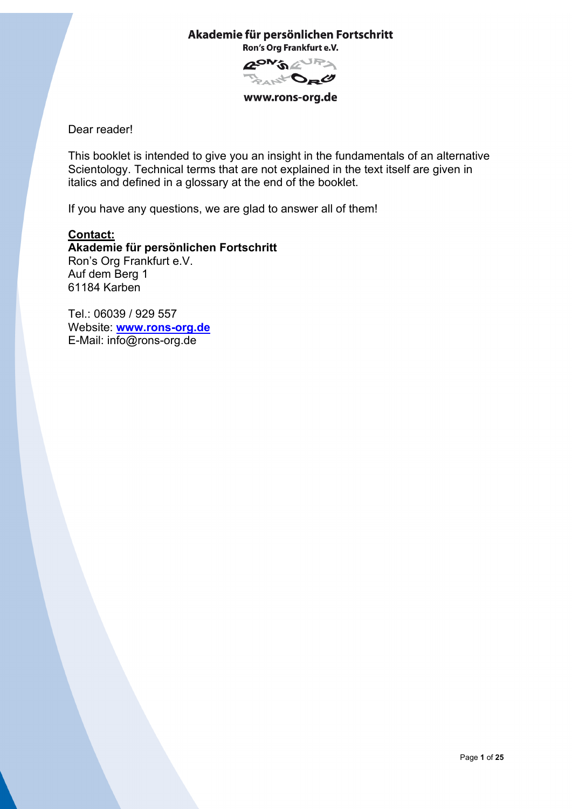**ZON'S ENRY** Bad to the

www.rons-org.de

Dear reader!

This booklet is intended to give you an insight in the fundamentals of an alternative Scientology. Technical terms that are not explained in the text itself are given in italics and defined in a glossary at the end of the booklet.

If you have any questions, we are glad to answer all of them!

# **Contact: Akademie für persönlichen Fortschritt** Ron's Org Frankfurt e.V. Auf dem Berg 1 61184 Karben

Tel.: 06039 / 929 557 Website: **[www.rons-org.de](http://www.rons-org.de/)** E-Mail: info@rons-org.de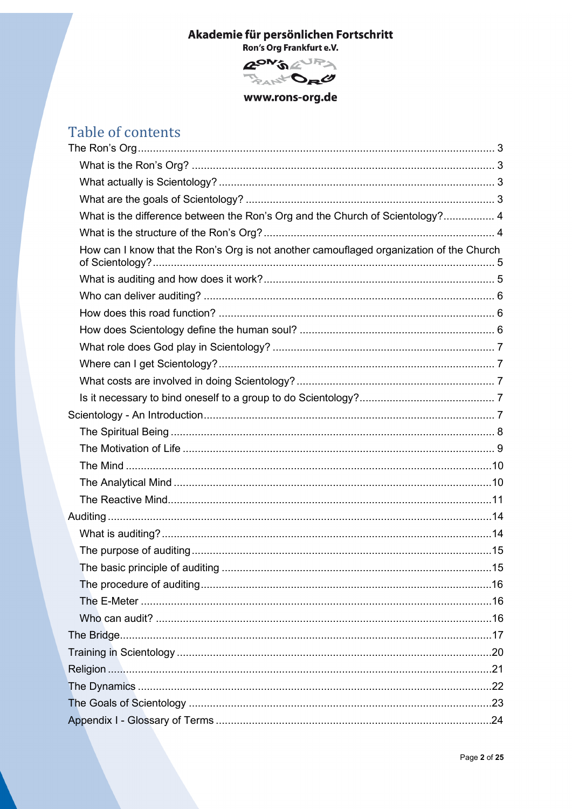

www.rons-org.de

# Table of contents

| What is the difference between the Ron's Org and the Church of Scientology? 4           |  |
|-----------------------------------------------------------------------------------------|--|
|                                                                                         |  |
| How can I know that the Ron's Org is not another camouflaged organization of the Church |  |
|                                                                                         |  |
|                                                                                         |  |
|                                                                                         |  |
|                                                                                         |  |
|                                                                                         |  |
|                                                                                         |  |
|                                                                                         |  |
|                                                                                         |  |
|                                                                                         |  |
|                                                                                         |  |
|                                                                                         |  |
|                                                                                         |  |
|                                                                                         |  |
|                                                                                         |  |
|                                                                                         |  |
|                                                                                         |  |
|                                                                                         |  |
|                                                                                         |  |
|                                                                                         |  |
|                                                                                         |  |
|                                                                                         |  |
|                                                                                         |  |
|                                                                                         |  |
|                                                                                         |  |
|                                                                                         |  |
|                                                                                         |  |
|                                                                                         |  |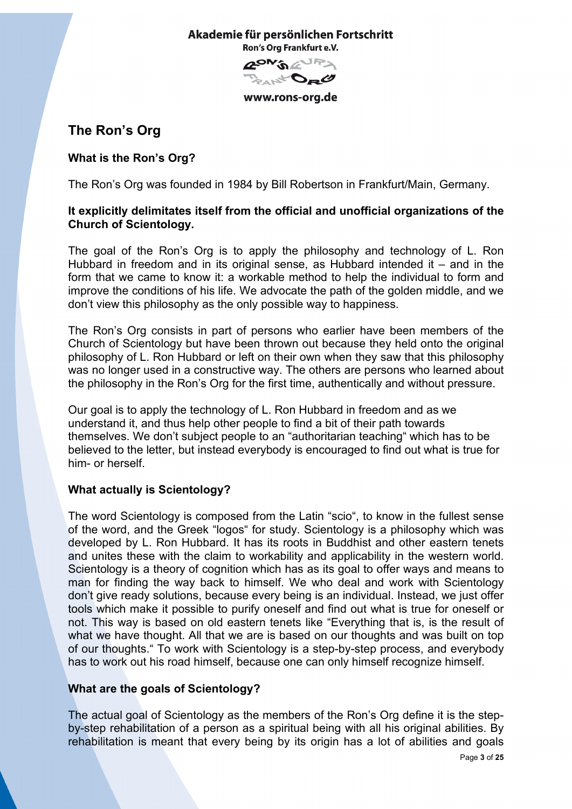**GON'S AURA** ARC to the

www.rons-org.de

# <span id="page-2-0"></span>**The Ron's Org**

# <span id="page-2-1"></span>**What is the Ron's Org?**

The Ron's Org was founded in 1984 by Bill Robertson in Frankfurt/Main, Germany.

# **It explicitly delimitates itself from the official and unofficial organizations of the Church of Scientology.**

The goal of the Ron's Org is to apply the philosophy and technology of L. Ron Hubbard in freedom and in its original sense, as Hubbard intended it – and in the form that we came to know it: a workable method to help the individual to form and improve the conditions of his life. We advocate the path of the golden middle, and we don't view this philosophy as the only possible way to happiness.

The Ron's Org consists in part of persons who earlier have been members of the Church of Scientology but have been thrown out because they held onto the original philosophy of L. Ron Hubbard or left on their own when they saw that this philosophy was no longer used in a constructive way. The others are persons who learned about the philosophy in the Ron's Org for the first time, authentically and without pressure.

Our goal is to apply the technology of L. Ron Hubbard in freedom and as we understand it, and thus help other people to find a bit of their path towards themselves. We don't subject people to an "authoritarian teaching" which has to be believed to the letter, but instead everybody is encouraged to find out what is true for him- or herself.

# <span id="page-2-2"></span>**What actually is Scientology?**

The word Scientology is composed from the Latin "scio", to know in the fullest sense of the word, and the Greek "logos" for study. Scientology is a philosophy which was developed by L. Ron Hubbard. It has its roots in Buddhist and other eastern tenets and unites these with the claim to workability and applicability in the western world. Scientology is a theory of cognition which has as its goal to offer ways and means to man for finding the way back to himself. We who deal and work with Scientology don't give ready solutions, because every being is an individual. Instead, we just offer tools which make it possible to purify oneself and find out what is true for oneself or not. This way is based on old eastern tenets like "Everything that is, is the result of what we have thought. All that we are is based on our thoughts and was built on top of our thoughts." To work with Scientology is a step-by-step process, and everybody has to work out his road himself, because one can only himself recognize himself.

# <span id="page-2-3"></span>**What are the goals of Scientology?**

The actual goal of Scientology as the members of the Ron's Org define it is the stepby-step rehabilitation of a person as a spiritual being with all his original abilities. By rehabilitation is meant that every being by its origin has a lot of abilities and goals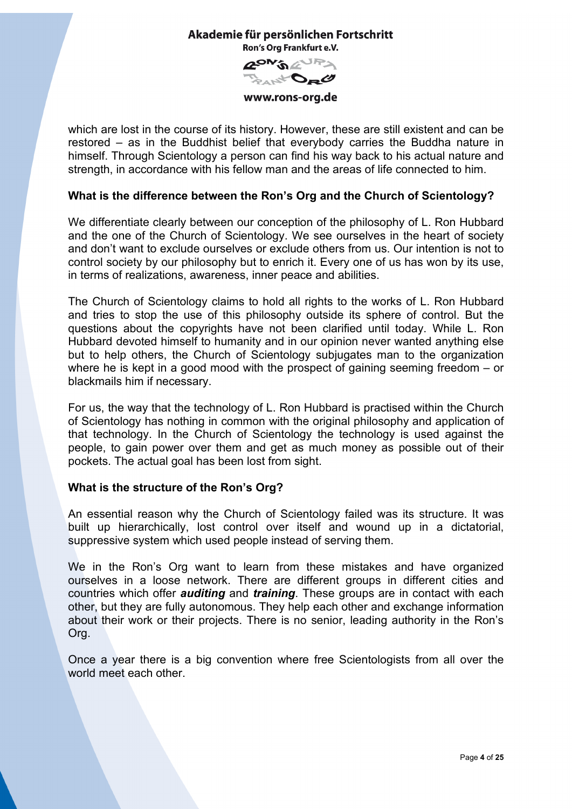**GON'S AURY** D<sub>R</sub>O

www.rons-org.de

which are lost in the course of its history. However, these are still existent and can be restored – as in the Buddhist belief that everybody carries the Buddha nature in himself. Through Scientology a person can find his way back to his actual nature and strength, in accordance with his fellow man and the areas of life connected to him.

# <span id="page-3-0"></span>**What is the difference between the Ron's Org and the Church of Scientology?**

We differentiate clearly between our conception of the philosophy of L. Ron Hubbard and the one of the Church of Scientology. We see ourselves in the heart of society and don't want to exclude ourselves or exclude others from us. Our intention is not to control society by our philosophy but to enrich it. Every one of us has won by its use, in terms of realizations, awareness, inner peace and abilities.

The Church of Scientology claims to hold all rights to the works of L. Ron Hubbard and tries to stop the use of this philosophy outside its sphere of control. But the questions about the copyrights have not been clarified until today. While L. Ron Hubbard devoted himself to humanity and in our opinion never wanted anything else but to help others, the Church of Scientology subjugates man to the organization where he is kept in a good mood with the prospect of gaining seeming freedom – or blackmails him if necessary.

For us, the way that the technology of L. Ron Hubbard is practised within the Church of Scientology has nothing in common with the original philosophy and application of that technology. In the Church of Scientology the technology is used against the people, to gain power over them and get as much money as possible out of their pockets. The actual goal has been lost from sight.

# <span id="page-3-1"></span>**What is the structure of the Ron's Org?**

An essential reason why the Church of Scientology failed was its structure. It was built up hierarchically, lost control over itself and wound up in a dictatorial, suppressive system which used people instead of serving them.

We in the Ron's Org want to learn from these mistakes and have organized ourselves in a loose network. There are different groups in different cities and countries which offer *auditing* and *training*. These groups are in contact with each other, but they are fully autonomous. They help each other and exchange information about their work or their projects. There is no senior, leading authority in the Ron's Org.

Once a year there is a big convention where free Scientologists from all over the world meet each other.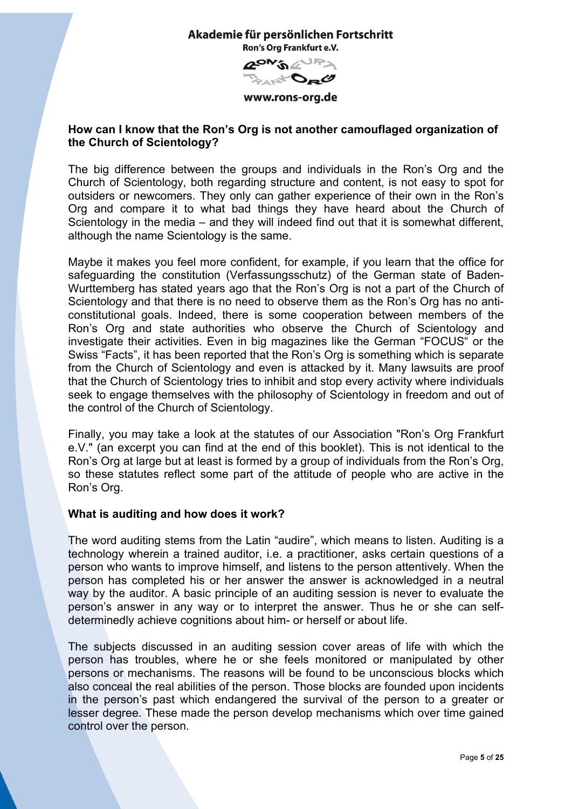

www.rons-org.de

## <span id="page-4-0"></span>**How can I know that the Ron's Org is not another camouflaged organization of the Church of Scientology?**

The big difference between the groups and individuals in the Ron's Org and the Church of Scientology, both regarding structure and content, is not easy to spot for outsiders or newcomers. They only can gather experience of their own in the Ron's Org and compare it to what bad things they have heard about the Church of Scientology in the media – and they will indeed find out that it is somewhat different, although the name Scientology is the same.

Maybe it makes you feel more confident, for example, if you learn that the office for safeguarding the constitution (Verfassungsschutz) of the German state of Baden-Wurttemberg has stated years ago that the Ron's Org is not a part of the Church of Scientology and that there is no need to observe them as the Ron's Org has no anticonstitutional goals. Indeed, there is some cooperation between members of the Ron's Org and state authorities who observe the Church of Scientology and investigate their activities. Even in big magazines like the German "FOCUS" or the Swiss "Facts", it has been reported that the Ron's Org is something which is separate from the Church of Scientology and even is attacked by it. Many lawsuits are proof that the Church of Scientology tries to inhibit and stop every activity where individuals seek to engage themselves with the philosophy of Scientology in freedom and out of the control of the Church of Scientology.

Finally, you may take a look at the statutes of our Association "Ron's Org Frankfurt e.V." (an excerpt you can find at the end of this booklet). This is not identical to the Ron's Org at large but at least is formed by a group of individuals from the Ron's Org, so these statutes reflect some part of the attitude of people who are active in the Ron's Org.

### <span id="page-4-1"></span>**What is auditing and how does it work?**

The word auditing stems from the Latin "audire", which means to listen. Auditing is a technology wherein a trained auditor, i.e. a practitioner, asks certain questions of a person who wants to improve himself, and listens to the person attentively. When the person has completed his or her answer the answer is acknowledged in a neutral way by the auditor. A basic principle of an auditing session is never to evaluate the person's answer in any way or to interpret the answer. Thus he or she can selfdeterminedly achieve cognitions about him- or herself or about life.

The subjects discussed in an auditing session cover areas of life with which the person has troubles, where he or she feels monitored or manipulated by other persons or mechanisms. The reasons will be found to be unconscious blocks which also conceal the real abilities of the person. Those blocks are founded upon incidents in the person's past which endangered the survival of the person to a greater or lesser degree. These made the person develop mechanisms which over time gained control over the person.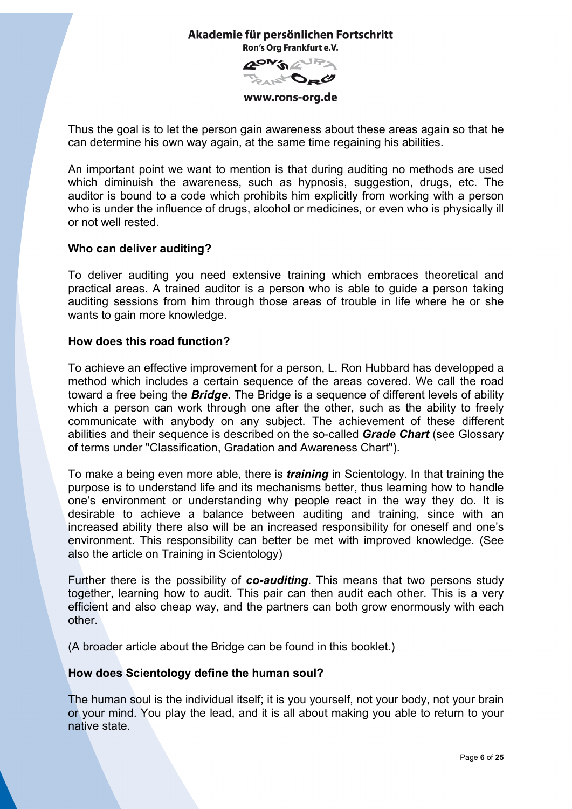**RON'S AUPS** D<sub>E</sub>O

www.rons-org.de

Thus the goal is to let the person gain awareness about these areas again so that he can determine his own way again, at the same time regaining his abilities.

An important point we want to mention is that during auditing no methods are used which diminuish the awareness, such as hypnosis, suggestion, drugs, etc. The auditor is bound to a code which prohibits him explicitly from working with a person who is under the influence of drugs, alcohol or medicines, or even who is physically ill or not well rested.

## <span id="page-5-0"></span>**Who can deliver auditing?**

To deliver auditing you need extensive training which embraces theoretical and practical areas. A trained auditor is a person who is able to guide a person taking auditing sessions from him through those areas of trouble in life where he or she wants to gain more knowledge.

## <span id="page-5-1"></span>**How does this road function?**

To achieve an effective improvement for a person, L. Ron Hubbard has developped a method which includes a certain sequence of the areas covered. We call the road toward a free being the *Bridge*. The Bridge is a sequence of different levels of ability which a person can work through one after the other, such as the ability to freely communicate with anybody on any subject. The achievement of these different abilities and their sequence is described on the so-called *Grade Chart* (see Glossary of terms under "Classification, Gradation and Awareness Chart").

To make a being even more able, there is *training* in Scientology. In that training the purpose is to understand life and its mechanisms better, thus learning how to handle one's environment or understanding why people react in the way they do. It is desirable to achieve a balance between auditing and training, since with an increased ability there also will be an increased responsibility for oneself and one's environment. This responsibility can better be met with improved knowledge. (See also the article on Training in Scientology)

Further there is the possibility of *co-auditing*. This means that two persons study together, learning how to audit. This pair can then audit each other. This is a very efficient and also cheap way, and the partners can both grow enormously with each other.

(A broader article about the Bridge can be found in this booklet.)

# <span id="page-5-2"></span>**How does Scientology define the human soul?**

The human soul is the individual itself; it is you yourself, not your body, not your brain or your mind. You play the lead, and it is all about making you able to return to your native state.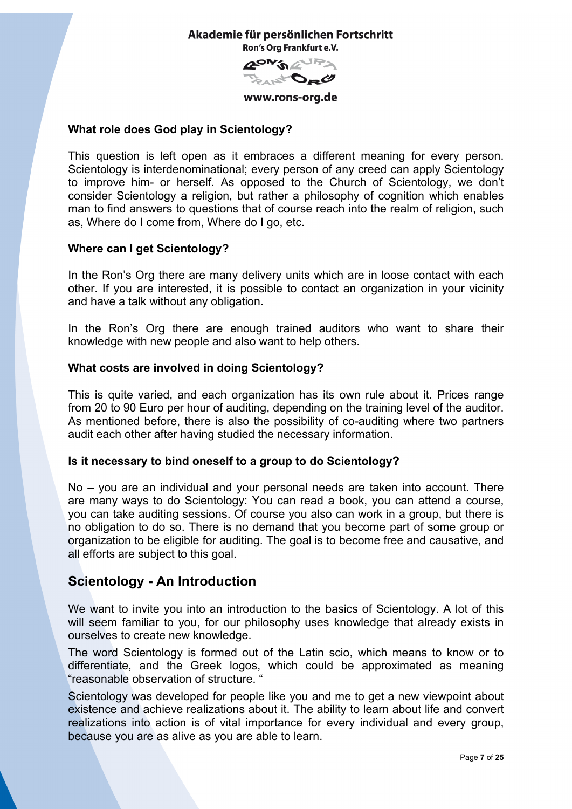

www.rons-org.de

# <span id="page-6-0"></span>**What role does God play in Scientology?**

This question is left open as it embraces a different meaning for every person. Scientology is interdenominational; every person of any creed can apply Scientology to improve him- or herself. As opposed to the Church of Scientology, we don't consider Scientology a religion, but rather a philosophy of cognition which enables man to find answers to questions that of course reach into the realm of religion, such as, Where do I come from, Where do I go, etc.

## <span id="page-6-1"></span>**Where can I get Scientology?**

In the Ron's Org there are many delivery units which are in loose contact with each other. If you are interested, it is possible to contact an organization in your vicinity and have a talk without any obligation.

In the Ron's Org there are enough trained auditors who want to share their knowledge with new people and also want to help others.

## <span id="page-6-2"></span>**What costs are involved in doing Scientology?**

This is quite varied, and each organization has its own rule about it. Prices range from 20 to 90 Euro per hour of auditing, depending on the training level of the auditor. As mentioned before, there is also the possibility of co-auditing where two partners audit each other after having studied the necessary information.

### <span id="page-6-3"></span>**Is it necessary to bind oneself to a group to do Scientology?**

No – you are an individual and your personal needs are taken into account. There are many ways to do Scientology: You can read a book, you can attend a course, you can take auditing sessions. Of course you also can work in a group, but there is no obligation to do so. There is no demand that you become part of some group or organization to be eligible for auditing. The goal is to become free and causative, and all efforts are subject to this goal.

# <span id="page-6-4"></span>**Scientology - An Introduction**

We want to invite you into an introduction to the basics of Scientology. A lot of this will seem familiar to you, for our philosophy uses knowledge that already exists in ourselves to create new knowledge.

The word Scientology is formed out of the Latin scio, which means to know or to differentiate, and the Greek logos, which could be approximated as meaning "reasonable observation of structure. "

Scientology was developed for people like you and me to get a new viewpoint about existence and achieve realizations about it. The ability to learn about life and convert realizations into action is of vital importance for every individual and every group, because you are as alive as you are able to learn.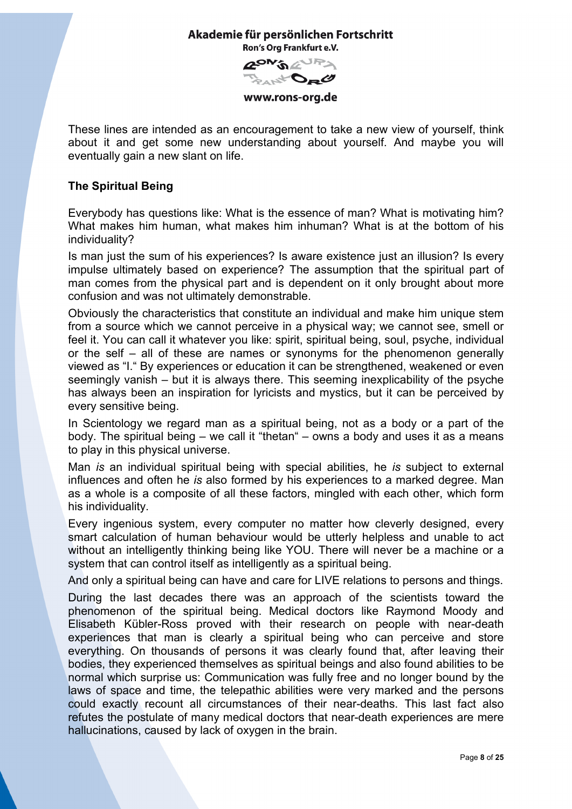**AON'S AURA** And Da C

www.rons-org.de

These lines are intended as an encouragement to take a new view of yourself, think about it and get some new understanding about yourself. And maybe you will eventually gain a new slant on life.

# <span id="page-7-0"></span>**The Spiritual Being**

Everybody has questions like: What is the essence of man? What is motivating him? What makes him human, what makes him inhuman? What is at the bottom of his individuality?

Is man just the sum of his experiences? Is aware existence just an illusion? Is every impulse ultimately based on experience? The assumption that the spiritual part of man comes from the physical part and is dependent on it only brought about more confusion and was not ultimately demonstrable.

Obviously the characteristics that constitute an individual and make him unique stem from a source which we cannot perceive in a physical way; we cannot see, smell or feel it. You can call it whatever you like: spirit, spiritual being, soul, psyche, individual or the self – all of these are names or synonyms for the phenomenon generally viewed as "I." By experiences or education it can be strengthened, weakened or even seemingly vanish – but it is always there. This seeming inexplicability of the psyche has always been an inspiration for lyricists and mystics, but it can be perceived by every sensitive being.

In Scientology we regard man as a spiritual being, not as a body or a part of the body. The spiritual being – we call it "thetan" – owns a body and uses it as a means to play in this physical universe.

Man *is* an individual spiritual being with special abilities, he *is* subject to external influences and often he *is* also formed by his experiences to a marked degree. Man as a whole is a composite of all these factors, mingled with each other, which form his individuality.

Every ingenious system, every computer no matter how cleverly designed, every smart calculation of human behaviour would be utterly helpless and unable to act without an intelligently thinking being like YOU. There will never be a machine or a system that can control itself as intelligently as a spiritual being.

And only a spiritual being can have and care for LIVE relations to persons and things.

During the last decades there was an approach of the scientists toward the phenomenon of the spiritual being. Medical doctors like Raymond Moody and Elisabeth Kübler-Ross proved with their research on people with near-death experiences that man is clearly a spiritual being who can perceive and store everything. On thousands of persons it was clearly found that, after leaving their bodies, they experienced themselves as spiritual beings and also found abilities to be normal which surprise us: Communication was fully free and no longer bound by the laws of space and time, the telepathic abilities were very marked and the persons could exactly recount all circumstances of their near-deaths. This last fact also refutes the postulate of many medical doctors that near-death experiences are mere hallucinations, caused by lack of oxygen in the brain.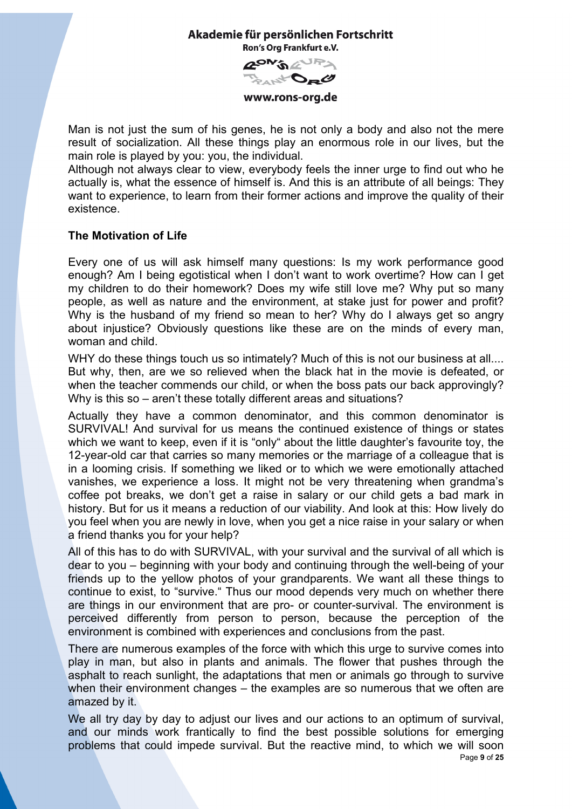**RON'S AUPA** 



www.rons-org.de

Man is not just the sum of his genes, he is not only a body and also not the mere result of socialization. All these things play an enormous role in our lives, but the main role is played by you: you, the individual.

Although not always clear to view, everybody feels the inner urge to find out who he actually is, what the essence of himself is. And this is an attribute of all beings: They want to experience, to learn from their former actions and improve the quality of their existence.

# <span id="page-8-0"></span>**The Motivation of Life**

Every one of us will ask himself many questions: Is my work performance good enough? Am I being egotistical when I don't want to work overtime? How can I get my children to do their homework? Does my wife still love me? Why put so many people, as well as nature and the environment, at stake just for power and profit? Why is the husband of my friend so mean to her? Why do I always get so angry about injustice? Obviously questions like these are on the minds of every man, woman and child.

WHY do these things touch us so intimately? Much of this is not our business at all.... But why, then, are we so relieved when the black hat in the movie is defeated, or when the teacher commends our child, or when the boss pats our back approvingly? Why is this so – aren't these totally different areas and situations?

Actually they have a common denominator, and this common denominator is SURVIVAL! And survival for us means the continued existence of things or states which we want to keep, even if it is "only" about the little daughter's favourite toy, the 12-year-old car that carries so many memories or the marriage of a colleague that is in a looming crisis. If something we liked or to which we were emotionally attached vanishes, we experience a loss. It might not be very threatening when grandma's coffee pot breaks, we don't get a raise in salary or our child gets a bad mark in history. But for us it means a reduction of our viability. And look at this: How lively do you feel when you are newly in love, when you get a nice raise in your salary or when a friend thanks you for your help?

All of this has to do with SURVIVAL, with your survival and the survival of all which is dear to you – beginning with your body and continuing through the well-being of your friends up to the yellow photos of your grandparents. We want all these things to continue to exist, to "survive." Thus our mood depends very much on whether there are things in our environment that are pro- or counter-survival. The environment is perceived differently from person to person, because the perception of the environment is combined with experiences and conclusions from the past.

There are numerous examples of the force with which this urge to survive comes into play in man, but also in plants and animals. The flower that pushes through the asphalt to reach sunlight, the adaptations that men or animals go through to survive when their environment changes – the examples are so numerous that we often are amazed by it.

Page **9** of **25** We all try day by day to adjust our lives and our actions to an optimum of survival, and our minds work frantically to find the best possible solutions for emerging problems that could impede survival. But the reactive mind, to which we will soon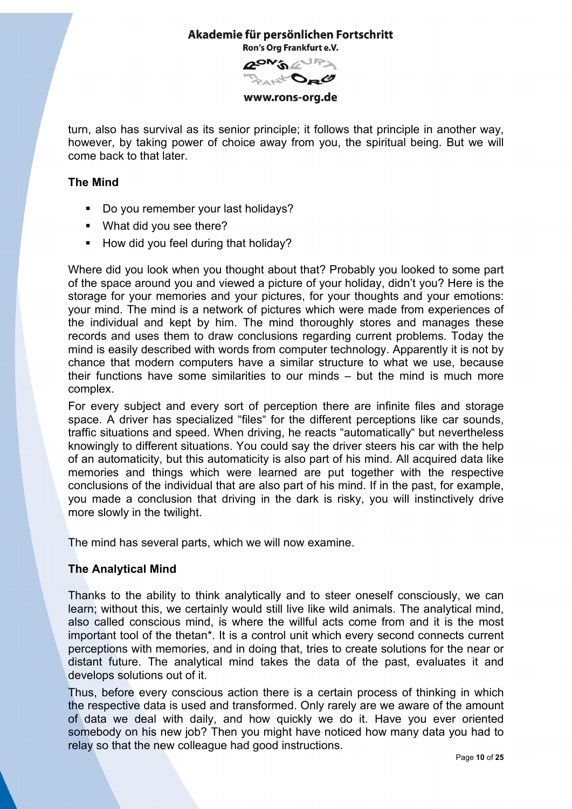**RON'S AUPA** Da C<sup>+</sup>

www.rons-org.de

turn, also has survival as its senior principle; it follows that principle in another way, however, by taking power of choice away from you, the spiritual being. But we will come back to that later.

# <span id="page-9-0"></span>**The Mind**

- Do you remember your last holidays?
- **What did you see there?**
- How did you feel during that holiday?

Where did you look when you thought about that? Probably you looked to some part of the space around you and viewed a picture of your holiday, didn't you? Here is the storage for your memories and your pictures, for your thoughts and your emotions: your mind. The mind is a network of pictures which were made from experiences of the individual and kept by him. The mind thoroughly stores and manages these records and uses them to draw conclusions regarding current problems. Today the mind is easily described with words from computer technology. Apparently it is not by chance that modern computers have a similar structure to what we use, because their functions have some similarities to our minds – but the mind is much more complex.

For every subject and every sort of perception there are infinite files and storage space. A driver has specialized "files" for the different perceptions like car sounds, traffic situations and speed. When driving, he reacts "automatically" but nevertheless knowingly to different situations. You could say the driver steers his car with the help of an automaticity, but this automaticity is also part of his mind. All acquired data like memories and things which were learned are put together with the respective conclusions of the individual that are also part of his mind. If in the past, for example, you made a conclusion that driving in the dark is risky, you will instinctively drive more slowly in the twilight.

The mind has several parts, which we will now examine.

# <span id="page-9-1"></span>**The Analytical Mind**

Thanks to the ability to think analytically and to steer oneself consciously, we can learn; without this, we certainly would still live like wild animals. The analytical mind, also called conscious mind, is where the willful acts come from and it is the most important tool of the thetan\*. It is a control unit which every second connects current perceptions with memories, and in doing that, tries to create solutions for the near or distant future. The analytical mind takes the data of the past, evaluates it and develops solutions out of it.

Thus, before every conscious action there is a certain process of thinking in which the respective data is used and transformed. Only rarely are we aware of the amount of data we deal with daily, and how quickly we do it. Have you ever oriented somebody on his new job? Then you might have noticed how many data you had to relay so that the new colleague had good instructions.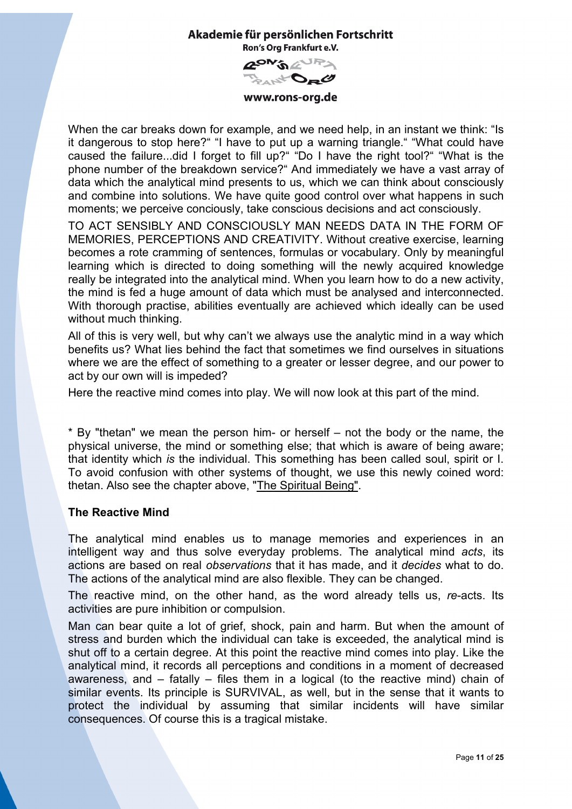

www.rons-org.de

When the car breaks down for example, and we need help, in an instant we think: "Is it dangerous to stop here?" "I have to put up a warning triangle." "What could have caused the failure...did I forget to fill up?" "Do I have the right tool?" "What is the phone number of the breakdown service?" And immediately we have a vast array of data which the analytical mind presents to us, which we can think about consciously and combine into solutions. We have quite good control over what happens in such moments; we perceive conciously, take conscious decisions and act consciously.

TO ACT SENSIBLY AND CONSCIOUSLY MAN NEEDS DATA IN THE FORM OF MEMORIES, PERCEPTIONS AND CREATIVITY. Without creative exercise, learning becomes a rote cramming of sentences, formulas or vocabulary. Only by meaningful learning which is directed to doing something will the newly acquired knowledge really be integrated into the analytical mind. When you learn how to do a new activity, the mind is fed a huge amount of data which must be analysed and interconnected. With thorough practise, abilities eventually are achieved which ideally can be used without much thinking.

All of this is very well, but why can't we always use the analytic mind in a way which benefits us? What lies behind the fact that sometimes we find ourselves in situations where we are the effect of something to a greater or lesser degree, and our power to act by our own will is impeded?

Here the reactive mind comes into play. We will now look at this part of the mind.

\* By "thetan" we mean the person him- or herself – not the body or the name, the physical universe, the mind or something else; that which is aware of being aware; that identity which *is* the individual. This something has been called soul, spirit or I. To avoid confusion with other systems of thought, we use this newly coined word: thetan. Also see the chapter above, "The Spiritual Being".

# <span id="page-10-0"></span>**The Reactive Mind**

The analytical mind enables us to manage memories and experiences in an intelligent way and thus solve everyday problems. The analytical mind *acts*, its actions are based on real *observations* that it has made, and it *decides* what to do. The actions of the analytical mind are also flexible. They can be changed.

The reactive mind, on the other hand, as the word already tells us, *re*-acts. Its activities are pure inhibition or compulsion.

Man can bear quite a lot of grief, shock, pain and harm. But when the amount of stress and burden which the individual can take is exceeded, the analytical mind is shut off to a certain degree. At this point the reactive mind comes into play. Like the analytical mind, it records all perceptions and conditions in a moment of decreased awareness, and – fatally – files them in a logical (to the reactive mind) chain of similar events. Its principle is SURVIVAL, as well, but in the sense that it wants to protect the individual by assuming that similar incidents will have similar consequences. Of course this is a tragical mistake.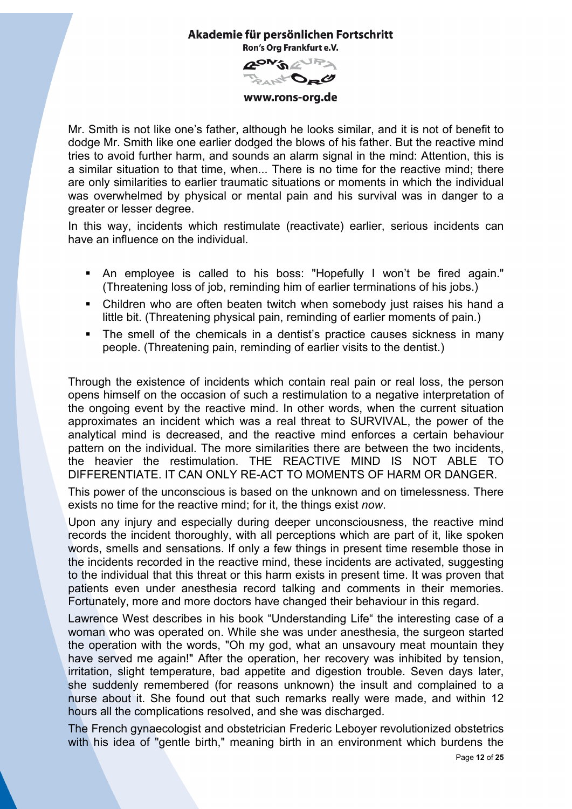

www.rons-org.de

Mr. Smith is not like one's father, although he looks similar, and it is not of benefit to dodge Mr. Smith like one earlier dodged the blows of his father. But the reactive mind tries to avoid further harm, and sounds an alarm signal in the mind: Attention, this is a similar situation to that time, when... There is no time for the reactive mind; there are only similarities to earlier traumatic situations or moments in which the individual was overwhelmed by physical or mental pain and his survival was in danger to a greater or lesser degree.

In this way, incidents which restimulate (reactivate) earlier, serious incidents can have an influence on the individual.

- An employee is called to his boss: "Hopefully I won't be fired again." (Threatening loss of job, reminding him of earlier terminations of his jobs.)
- Children who are often beaten twitch when somebody just raises his hand a little bit. (Threatening physical pain, reminding of earlier moments of pain.)
- The smell of the chemicals in a dentist's practice causes sickness in many people. (Threatening pain, reminding of earlier visits to the dentist.)

Through the existence of incidents which contain real pain or real loss, the person opens himself on the occasion of such a restimulation to a negative interpretation of the ongoing event by the reactive mind. In other words, when the current situation approximates an incident which was a real threat to SURVIVAL, the power of the analytical mind is decreased, and the reactive mind enforces a certain behaviour pattern on the individual. The more similarities there are between the two incidents, the heavier the restimulation. THE REACTIVE MIND IS NOT ABLE TO DIFFERENTIATE. IT CAN ONLY RE-ACT TO MOMENTS OF HARM OR DANGER.

This power of the unconscious is based on the unknown and on timelessness. There exists no time for the reactive mind; for it, the things exist *now*.

Upon any injury and especially during deeper unconsciousness, the reactive mind records the incident thoroughly, with all perceptions which are part of it, like spoken words, smells and sensations. If only a few things in present time resemble those in the incidents recorded in the reactive mind, these incidents are activated, suggesting to the individual that this threat or this harm exists in present time. It was proven that patients even under anesthesia record talking and comments in their memories. Fortunately, more and more doctors have changed their behaviour in this regard.

Lawrence West describes in his book "Understanding Life" the interesting case of a woman who was operated on. While she was under anesthesia, the surgeon started the operation with the words, "Oh my god, what an unsavoury meat mountain they have served me again!" After the operation, her recovery was inhibited by tension, irritation, slight temperature, bad appetite and digestion trouble. Seven days later, she suddenly remembered (for reasons unknown) the insult and complained to a nurse about it. She found out that such remarks really were made, and within 12 hours all the complications resolved, and she was discharged.

The French gynaecologist and obstetrician Frederic Leboyer revolutionized obstetrics with his idea of "gentle birth," meaning birth in an environment which burdens the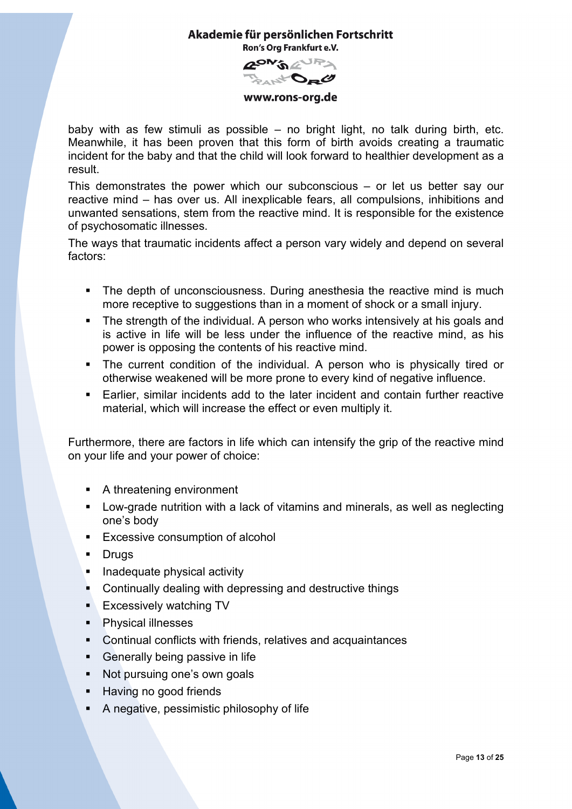

www.rons-org.de

baby with as few stimuli as possible – no bright light, no talk during birth, etc. Meanwhile, it has been proven that this form of birth avoids creating a traumatic incident for the baby and that the child will look forward to healthier development as a result.

This demonstrates the power which our subconscious – or let us better say our reactive mind – has over us. All inexplicable fears, all compulsions, inhibitions and unwanted sensations, stem from the reactive mind. It is responsible for the existence of psychosomatic illnesses.

The ways that traumatic incidents affect a person vary widely and depend on several factors:

- The depth of unconsciousness. During anesthesia the reactive mind is much more receptive to suggestions than in a moment of shock or a small injury.
- The strength of the individual. A person who works intensively at his goals and is active in life will be less under the influence of the reactive mind, as his power is opposing the contents of his reactive mind.
- The current condition of the individual. A person who is physically tired or otherwise weakened will be more prone to every kind of negative influence.
- Earlier, similar incidents add to the later incident and contain further reactive material, which will increase the effect or even multiply it.

Furthermore, there are factors in life which can intensify the grip of the reactive mind on your life and your power of choice:

- A threatening environment
- Low-grade nutrition with a lack of vitamins and minerals, as well as neglecting one's body
- **Excessive consumption of alcohol**
- **-** Drugs
- **Inadequate physical activity**
- **EXECONTIFY CONTINUALLY DEALING** With depressing and destructive things
- **Excessively watching TV**
- **Physical illnesses**
- Continual conflicts with friends, relatives and acquaintances
- Generally being passive in life
- Not pursuing one's own goals
- Having no good friends
- A negative, pessimistic philosophy of life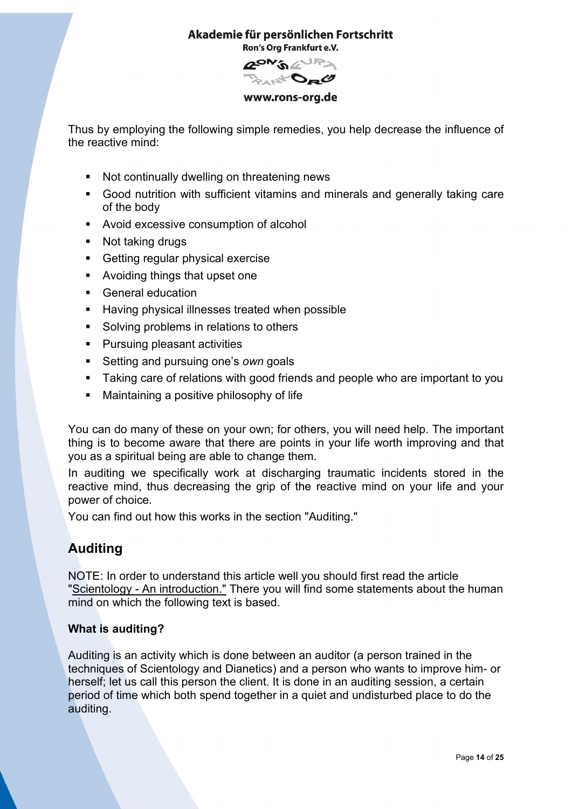

www.rons-org.de

Thus by employing the following simple remedies, you help decrease the influence of the reactive mind:

- Not continually dwelling on threatening news
- Good nutrition with sufficient vitamins and minerals and generally taking care of the body
- Avoid excessive consumption of alcohol
- Not taking drugs
- Getting regular physical exercise
- **Avoiding things that upset one**
- **General education**
- Having physical illnesses treated when possible
- **Solving problems in relations to others**
- Pursuing pleasant activities
- Setting and pursuing one's *own* goals
- **Taking care of relations with good friends and people who are important to you**
- Maintaining a positive philosophy of life

You can do many of these on your own; for others, you will need help. The important thing is to become aware that there are points in your life worth improving and that you as a spiritual being are able to change them.

In auditing we specifically work at discharging traumatic incidents stored in the reactive mind, thus decreasing the grip of the reactive mind on your life and your power of choice.

You can find out how this works in the section "Auditing."

# <span id="page-13-0"></span>**Auditing**

NOTE: In order to understand this article well you should first read the article "Scientology - An introduction." There you will find some statements about the human mind on which the following text is based.

# <span id="page-13-1"></span>**What is auditing?**

Auditing is an activity which is done between an auditor (a person trained in the techniques of Scientology and Dianetics) and a person who wants to improve him- or herself; let us call this person the client. It is done in an auditing session, a certain period of time which both spend together in a quiet and undisturbed place to do the auditing.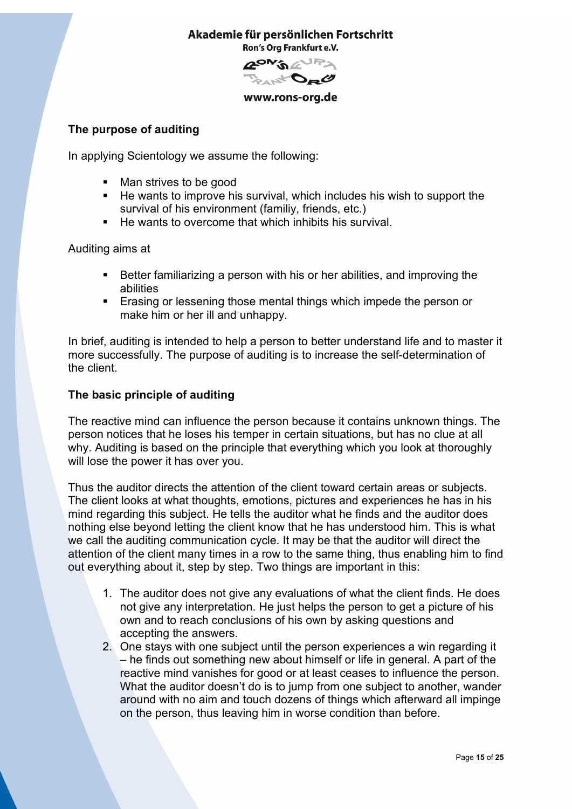Akademie für persönlichen Fortschritt

Ron's Org Frankfurt e.V.

**GON'S AUPA** And Da C

www.rons-org.de

# <span id="page-14-0"></span>**The purpose of auditing**

In applying Scientology we assume the following:

- Man strives to be good
- $\blacksquare$  He wants to improve his survival, which includes his wish to support the survival of his environment (familiy, friends, etc.)
- He wants to overcome that which inhibits his survival.

Auditing aims at

- **Better familiarizing a person with his or her abilities, and improving the** abilities
- **Example 1** Erasing or lessening those mental things which impede the person or make him or her ill and unhappy.

In brief, auditing is intended to help a person to better understand life and to master it more successfully. The purpose of auditing is to increase the self-determination of the client.

## <span id="page-14-1"></span>**The basic principle of auditing**

The reactive mind can influence the person because it contains unknown things. The person notices that he loses his temper in certain situations, but has no clue at all why. Auditing is based on the principle that everything which you look at thoroughly will lose the power it has over you.

Thus the auditor directs the attention of the client toward certain areas or subjects. The client looks at what thoughts, emotions, pictures and experiences he has in his mind regarding this subject. He tells the auditor what he finds and the auditor does nothing else beyond letting the client know that he has understood him. This is what we call the auditing communication cycle. It may be that the auditor will direct the attention of the client many times in a row to the same thing, thus enabling him to find out everything about it, step by step. Two things are important in this:

- 1. The auditor does not give any evaluations of what the client finds. He does not give any interpretation. He just helps the person to get a picture of his own and to reach conclusions of his own by asking questions and accepting the answers.
- 2. One stays with one subject until the person experiences a win regarding it – he finds out something new about himself or life in general. A part of the reactive mind vanishes for good or at least ceases to influence the person. What the auditor doesn't do is to jump from one subject to another, wander around with no aim and touch dozens of things which afterward all impinge on the person, thus leaving him in worse condition than before.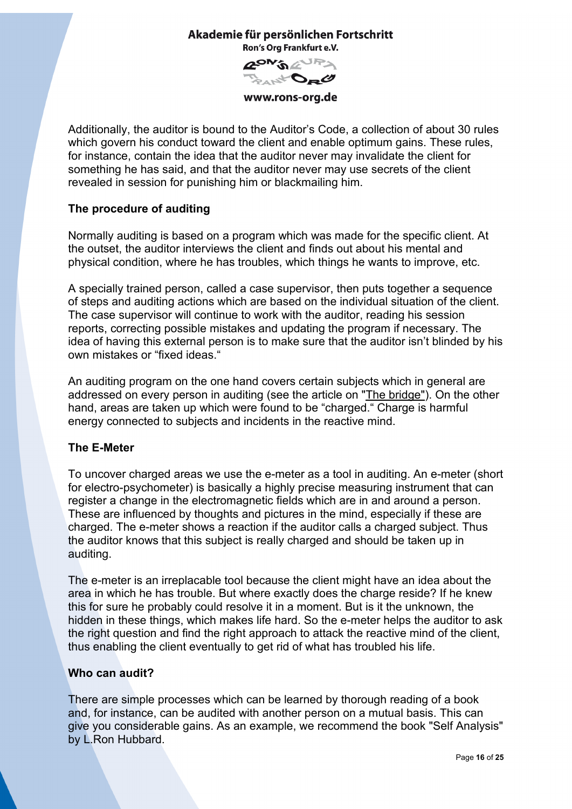

www.rons-org.de

Additionally, the auditor is bound to the Auditor's Code, a collection of about 30 rules which govern his conduct toward the client and enable optimum gains. These rules, for instance, contain the idea that the auditor never may invalidate the client for something he has said, and that the auditor never may use secrets of the client revealed in session for punishing him or blackmailing him.

# <span id="page-15-0"></span>**The procedure of auditing**

Normally auditing is based on a program which was made for the specific client. At the outset, the auditor interviews the client and finds out about his mental and physical condition, where he has troubles, which things he wants to improve, etc.

A specially trained person, called a case supervisor, then puts together a sequence of steps and auditing actions which are based on the individual situation of the client. The case supervisor will continue to work with the auditor, reading his session reports, correcting possible mistakes and updating the program if necessary. The idea of having this external person is to make sure that the auditor isn't blinded by his own mistakes or "fixed ideas."

An auditing program on the one hand covers certain subjects which in general are addressed on every person in auditing (see the article on "The bridge"). On the other hand, areas are taken up which were found to be "charged." Charge is harmful energy connected to subjects and incidents in the reactive mind.

# <span id="page-15-1"></span>**The E-Meter**

To uncover charged areas we use the e-meter as a tool in auditing. An e-meter (short for electro-psychometer) is basically a highly precise measuring instrument that can register a change in the electromagnetic fields which are in and around a person. These are influenced by thoughts and pictures in the mind, especially if these are charged. The e-meter shows a reaction if the auditor calls a charged subject. Thus the auditor knows that this subject is really charged and should be taken up in auditing.

The e-meter is an irreplacable tool because the client might have an idea about the area in which he has trouble. But where exactly does the charge reside? If he knew this for sure he probably could resolve it in a moment. But is it the unknown, the hidden in these things, which makes life hard. So the e-meter helps the auditor to ask the right question and find the right approach to attack the reactive mind of the client, thus enabling the client eventually to get rid of what has troubled his life.

# <span id="page-15-2"></span>**Who can audit?**

There are simple processes which can be learned by thorough reading of a book and, for instance, can be audited with another person on a mutual basis. This can give you considerable gains. As an example, we recommend the book "Self Analysis" by L.Ron Hubbard.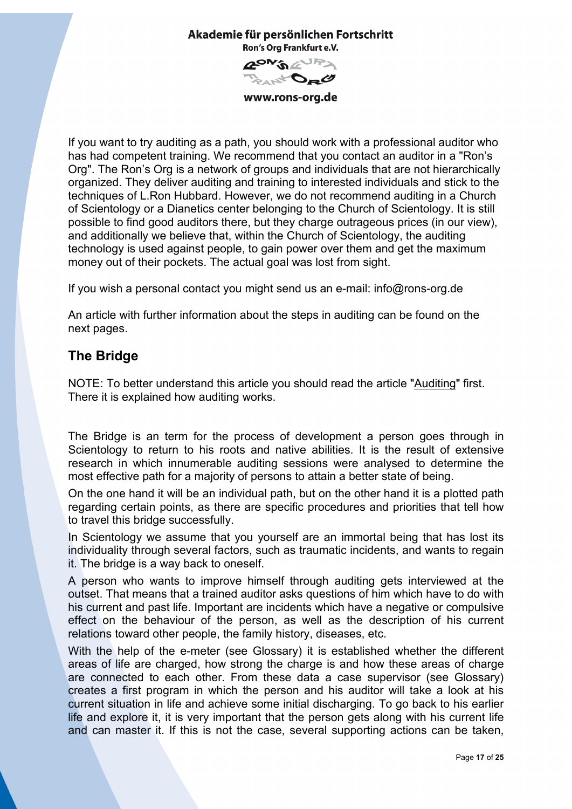

**GON'S AUPS** And Da C

www.rons-org.de

If you want to try auditing as a path, you should work with a professional auditor who has had competent training. We recommend that you contact an auditor in a "Ron's Org". The Ron's Org is a network of groups and individuals that are not hierarchically organized. They deliver auditing and training to interested individuals and stick to the techniques of L.Ron Hubbard. However, we do not recommend auditing in a Church of Scientology or a Dianetics center belonging to the Church of Scientology. It is still possible to find good auditors there, but they charge outrageous prices (in our view), and additionally we believe that, within the Church of Scientology, the auditing technology is used against people, to gain power over them and get the maximum money out of their pockets. The actual goal was lost from sight.

If you wish a personal contact you might send us an e-mail: info@rons-org.de

An article with further information about the steps in auditing can be found on the next pages.

# <span id="page-16-0"></span>**The Bridge**

NOTE: To better understand this article you should read the article "Auditing" first. There it is explained how auditing works.

The Bridge is an term for the process of development a person goes through in Scientology to return to his roots and native abilities. It is the result of extensive research in which innumerable auditing sessions were analysed to determine the most effective path for a majority of persons to attain a better state of being.

On the one hand it will be an individual path, but on the other hand it is a plotted path regarding certain points, as there are specific procedures and priorities that tell how to travel this bridge successfully.

In Scientology we assume that you yourself are an immortal being that has lost its individuality through several factors, such as traumatic incidents, and wants to regain it. The bridge is a way back to oneself.

A person who wants to improve himself through auditing gets interviewed at the outset. That means that a trained auditor asks questions of him which have to do with his current and past life. Important are incidents which have a negative or compulsive effect on the behaviour of the person, as well as the description of his current relations toward other people, the family history, diseases, etc.

With the help of the e-meter (see Glossary) it is established whether the different areas of life are charged, how strong the charge is and how these areas of charge are connected to each other. From these data a case supervisor (see Glossary) creates a first program in which the person and his auditor will take a look at his current situation in life and achieve some initial discharging. To go back to his earlier life and explore it, it is very important that the person gets along with his current life and can master it. If this is not the case, several supporting actions can be taken,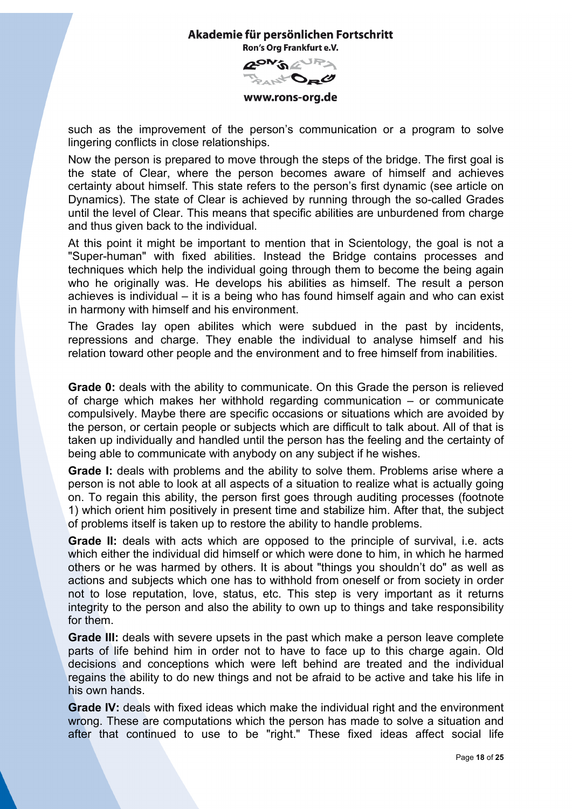

www.rons-org.de

such as the improvement of the person's communication or a program to solve lingering conflicts in close relationships.

Now the person is prepared to move through the steps of the bridge. The first goal is the state of Clear, where the person becomes aware of himself and achieves certainty about himself. This state refers to the person's first dynamic (see article on Dynamics). The state of Clear is achieved by running through the so-called Grades until the level of Clear. This means that specific abilities are unburdened from charge and thus given back to the individual.

At this point it might be important to mention that in Scientology, the goal is not a "Super-human" with fixed abilities. Instead the Bridge contains processes and techniques which help the individual going through them to become the being again who he originally was. He develops his abilities as himself. The result a person achieves is individual – it is a being who has found himself again and who can exist in harmony with himself and his environment.

The Grades lay open abilites which were subdued in the past by incidents, repressions and charge. They enable the individual to analyse himself and his relation toward other people and the environment and to free himself from inabilities.

**Grade 0:** deals with the ability to communicate. On this Grade the person is relieved of charge which makes her withhold regarding communication – or communicate compulsively. Maybe there are specific occasions or situations which are avoided by the person, or certain people or subjects which are difficult to talk about. All of that is taken up individually and handled until the person has the feeling and the certainty of being able to communicate with anybody on any subject if he wishes.

**Grade I:** deals with problems and the ability to solve them. Problems arise where a person is not able to look at all aspects of a situation to realize what is actually going on. To regain this ability, the person first goes through auditing processes (footnote 1) which orient him positively in present time and stabilize him. After that, the subject of problems itself is taken up to restore the ability to handle problems.

**Grade II:** deals with acts which are opposed to the principle of survival, i.e. acts which either the individual did himself or which were done to him, in which he harmed others or he was harmed by others. It is about "things you shouldn't do" as well as actions and subjects which one has to withhold from oneself or from society in order not to lose reputation, love, status, etc. This step is very important as it returns integrity to the person and also the ability to own up to things and take responsibility for them.

**Grade III:** deals with severe upsets in the past which make a person leave complete parts of life behind him in order not to have to face up to this charge again. Old decisions and conceptions which were left behind are treated and the individual regains the ability to do new things and not be afraid to be active and take his life in his own hands.

**Grade IV:** deals with fixed ideas which make the individual right and the environment wrong. These are computations which the person has made to solve a situation and after that continued to use to be "right." These fixed ideas affect social life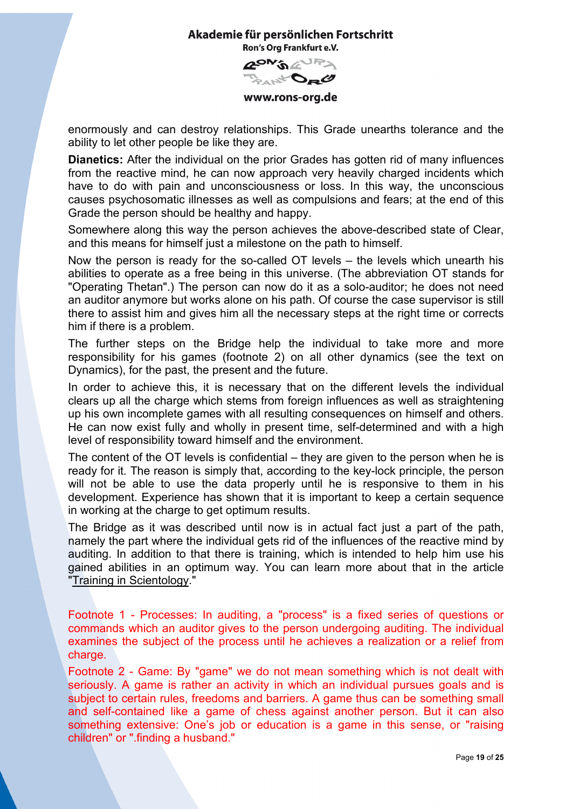**RON'S AURA** D<sub>R</sub>O

www.rons-org.de

enormously and can destroy relationships. This Grade unearths tolerance and the ability to let other people be like they are.

**Dianetics:** After the individual on the prior Grades has gotten rid of many influences from the reactive mind, he can now approach very heavily charged incidents which have to do with pain and unconsciousness or loss. In this way, the unconscious causes psychosomatic illnesses as well as compulsions and fears; at the end of this Grade the person should be healthy and happy.

Somewhere along this way the person achieves the above-described state of Clear, and this means for himself just a milestone on the path to himself.

Now the person is ready for the so-called OT levels – the levels which unearth his abilities to operate as a free being in this universe. (The abbreviation OT stands for "Operating Thetan".) The person can now do it as a solo-auditor; he does not need an auditor anymore but works alone on his path. Of course the case supervisor is still there to assist him and gives him all the necessary steps at the right time or corrects him if there is a problem.

The further steps on the Bridge help the individual to take more and more responsibility for his games (footnote 2) on all other dynamics (see the text on Dynamics), for the past, the present and the future.

In order to achieve this, it is necessary that on the different levels the individual clears up all the charge which stems from foreign influences as well as straightening up his own incomplete games with all resulting consequences on himself and others. He can now exist fully and wholly in present time, self-determined and with a high level of responsibility toward himself and the environment.

The content of the OT levels is confidential – they are given to the person when he is ready for it. The reason is simply that, according to the key-lock principle, the person will not be able to use the data properly until he is responsive to them in his development. Experience has shown that it is important to keep a certain sequence in working at the charge to get optimum results.

The Bridge as it was described until now is in actual fact just a part of the path, namely the part where the individual gets rid of the influences of the reactive mind by auditing. In addition to that there is training, which is intended to help him use his gained abilities in an optimum way. You can learn more about that in the article "Training in Scientology."

Footnote 1 - Processes: In auditing, a "process" is a fixed series of questions or commands which an auditor gives to the person undergoing auditing. The individual examines the subject of the process until he achieves a realization or a relief from charge.

Footnote 2 - Game: By "game" we do not mean something which is not dealt with seriously. A game is rather an activity in which an individual pursues goals and is subject to certain rules, freedoms and barriers. A game thus can be something small and self-contained like a game of chess against another person. But it can also something extensive: One's job or education is a game in this sense, or "raising children" or ".finding a husband."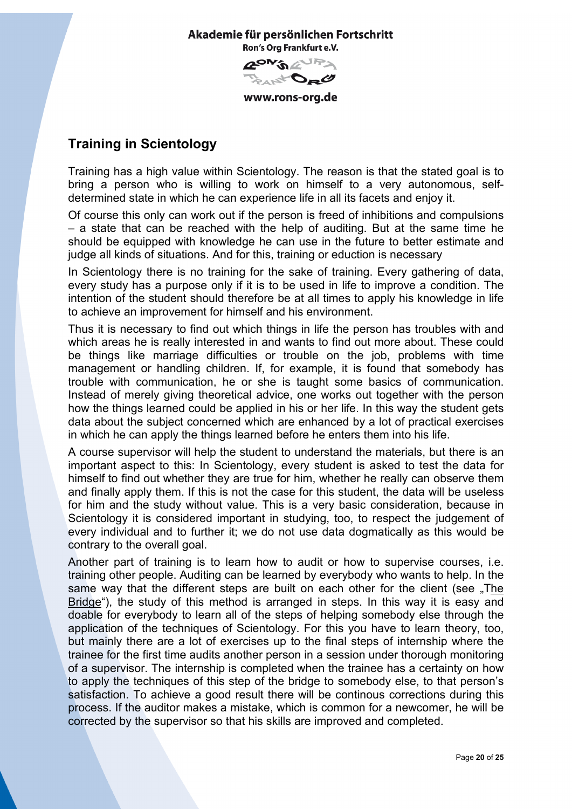**GON'S AUPS** And Da C www.rons-org.de

# <span id="page-19-0"></span>**Training in Scientology**

Training has a high value within Scientology. The reason is that the stated goal is to bring a person who is willing to work on himself to a very autonomous, selfdetermined state in which he can experience life in all its facets and enjoy it.

Of course this only can work out if the person is freed of inhibitions and compulsions – a state that can be reached with the help of auditing. But at the same time he should be equipped with knowledge he can use in the future to better estimate and judge all kinds of situations. And for this, training or eduction is necessary

In Scientology there is no training for the sake of training. Every gathering of data, every study has a purpose only if it is to be used in life to improve a condition. The intention of the student should therefore be at all times to apply his knowledge in life to achieve an improvement for himself and his environment.

Thus it is necessary to find out which things in life the person has troubles with and which areas he is really interested in and wants to find out more about. These could be things like marriage difficulties or trouble on the job, problems with time management or handling children. If, for example, it is found that somebody has trouble with communication, he or she is taught some basics of communication. Instead of merely giving theoretical advice, one works out together with the person how the things learned could be applied in his or her life. In this way the student gets data about the subject concerned which are enhanced by a lot of practical exercises in which he can apply the things learned before he enters them into his life.

A course supervisor will help the student to understand the materials, but there is an important aspect to this: In Scientology, every student is asked to test the data for himself to find out whether they are true for him, whether he really can observe them and finally apply them. If this is not the case for this student, the data will be useless for him and the study without value. This is a very basic consideration, because in Scientology it is considered important in studying, too, to respect the judgement of every individual and to further it; we do not use data dogmatically as this would be contrary to the overall goal.

Another part of training is to learn how to audit or how to supervise courses, i.e. training other people. Auditing can be learned by everybody who wants to help. In the same way that the different steps are built on each other for the client (see "The Bridge"), the study of this method is arranged in steps. In this way it is easy and doable for everybody to learn all of the steps of helping somebody else through the application of the techniques of Scientology. For this you have to learn theory, too, but mainly there are a lot of exercises up to the final steps of internship where the trainee for the first time audits another person in a session under thorough monitoring of a supervisor. The internship is completed when the trainee has a certainty on how to apply the techniques of this step of the bridge to somebody else, to that person's satisfaction. To achieve a good result there will be continous corrections during this process. If the auditor makes a mistake, which is common for a newcomer, he will be corrected by the supervisor so that his skills are improved and completed.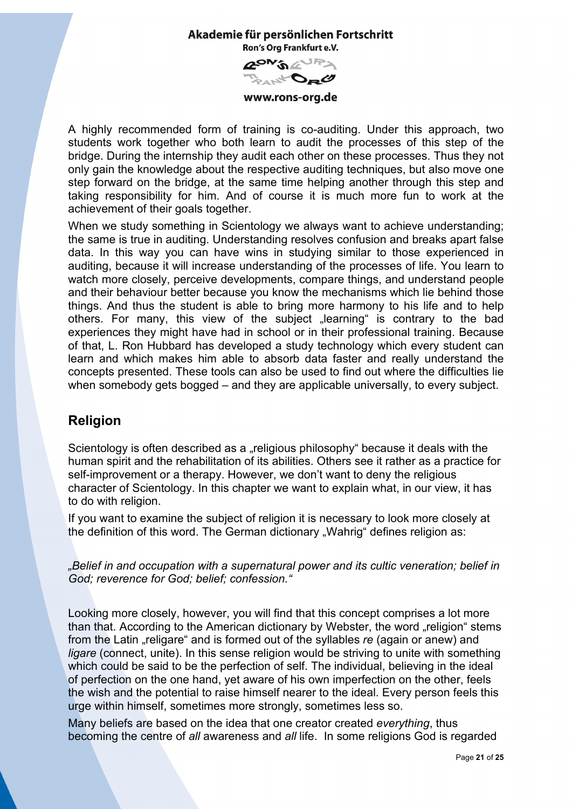

www.rons-org.de

A highly recommended form of training is co-auditing. Under this approach, two students work together who both learn to audit the processes of this step of the bridge. During the internship they audit each other on these processes. Thus they not only gain the knowledge about the respective auditing techniques, but also move one step forward on the bridge, at the same time helping another through this step and taking responsibility for him. And of course it is much more fun to work at the achievement of their goals together.

When we study something in Scientology we always want to achieve understanding; the same is true in auditing. Understanding resolves confusion and breaks apart false data. In this way you can have wins in studying similar to those experienced in auditing, because it will increase understanding of the processes of life. You learn to watch more closely, perceive developments, compare things, and understand people and their behaviour better because you know the mechanisms which lie behind those things. And thus the student is able to bring more harmony to his life and to help others. For many, this view of the subject "learning" is contrary to the bad experiences they might have had in school or in their professional training. Because of that, L. Ron Hubbard has developed a study technology which every student can learn and which makes him able to absorb data faster and really understand the concepts presented. These tools can also be used to find out where the difficulties lie when somebody gets bogged – and they are applicable universally, to every subject.

# <span id="page-20-0"></span>**Religion**

Scientology is often described as a "religious philosophy" because it deals with the human spirit and the rehabilitation of its abilities. Others see it rather as a practice for self-improvement or a therapy. However, we don't want to deny the religious character of Scientology. In this chapter we want to explain what, in our view, it has to do with religion.

If you want to examine the subject of religion it is necessary to look more closely at the definition of this word. The German dictionary "Wahrig" defines religion as:

*"Belief in and occupation with a supernatural power and its cultic veneration; belief in God; reverence for God; belief; confession."*

Looking more closely, however, you will find that this concept comprises a lot more than that. According to the American dictionary by Webster, the word "religion" stems from the Latin "religare" and is formed out of the syllables *re* (again or anew) and *ligare* (connect, unite). In this sense religion would be striving to unite with something which could be said to be the perfection of self. The individual, believing in the ideal of perfection on the one hand, yet aware of his own imperfection on the other, feels the wish and the potential to raise himself nearer to the ideal. Every person feels this urge within himself, sometimes more strongly, sometimes less so.

Many beliefs are based on the idea that one creator created *everything*, thus becoming the centre of *all* awareness and *all* life. In some religions God is regarded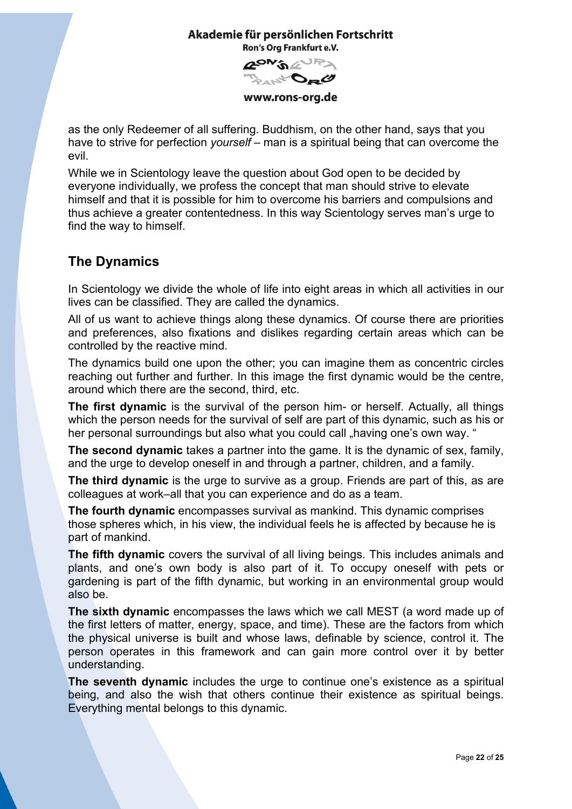

www.rons-org.de

as the only Redeemer of all suffering. Buddhism, on the other hand, says that you have to strive for perfection *yourself –* man is a spiritual being that can overcome the evil.

While we in Scientology leave the question about God open to be decided by everyone individually, we profess the concept that man should strive to elevate himself and that it is possible for him to overcome his barriers and compulsions and thus achieve a greater contentedness. In this way Scientology serves man's urge to find the way to himself.

# <span id="page-21-0"></span>**The Dynamics**

In Scientology we divide the whole of life into eight areas in which all activities in our lives can be classified. They are called the dynamics.

All of us want to achieve things along these dynamics. Of course there are priorities and preferences, also fixations and dislikes regarding certain areas which can be controlled by the reactive mind.

The dynamics build one upon the other; you can imagine them as concentric circles reaching out further and further. In this image the first dynamic would be the centre, around which there are the second, third, etc.

**The first dynamic** is the survival of the person him- or herself. Actually, all things which the person needs for the survival of self are part of this dynamic, such as his or her personal surroundings but also what you could call "having one's own way. "

**The second dynamic** takes a partner into the game. It is the dynamic of sex, family, and the urge to develop oneself in and through a partner, children, and a family.

**The third dynamic** is the urge to survive as a group. Friends are part of this, as are colleagues at work–all that you can experience and do as a team.

**The fourth dynamic** encompasses survival as mankind. This dynamic comprises those spheres which, in his view, the individual feels he is affected by because he is part of mankind.

**The fifth dynamic** covers the survival of all living beings. This includes animals and plants, and one's own body is also part of it. To occupy oneself with pets or gardening is part of the fifth dynamic, but working in an environmental group would also be.

**The sixth dynamic** encompasses the laws which we call MEST (a word made up of the first letters of matter, energy, space, and time). These are the factors from which the physical universe is built and whose laws, definable by science, control it. The person operates in this framework and can gain more control over it by better understanding.

**The seventh dynamic** includes the urge to continue one's existence as a spiritual being, and also the wish that others continue their existence as spiritual beings. Everything mental belongs to this dynamic.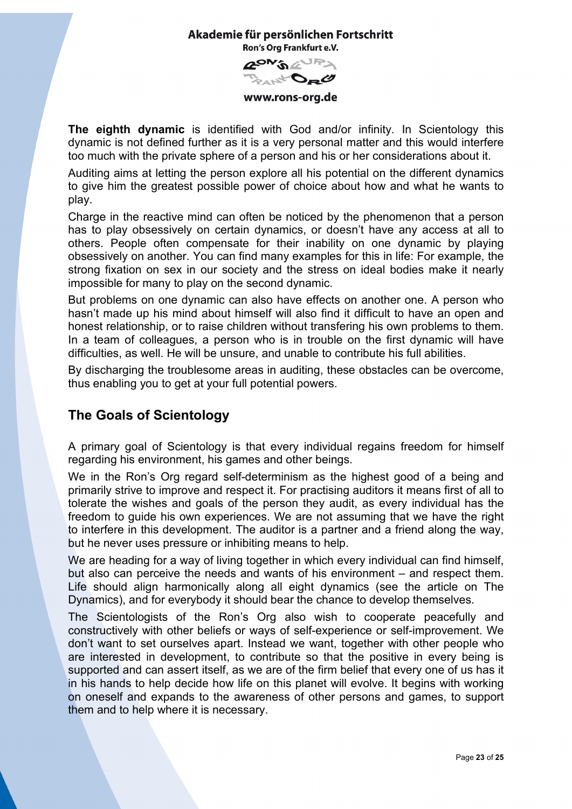

www.rons-org.de

**The eighth dynamic** is identified with God and/or infinity. In Scientology this dynamic is not defined further as it is a very personal matter and this would interfere too much with the private sphere of a person and his or her considerations about it.

Auditing aims at letting the person explore all his potential on the different dynamics to give him the greatest possible power of choice about how and what he wants to play.

Charge in the reactive mind can often be noticed by the phenomenon that a person has to play obsessively on certain dynamics, or doesn't have any access at all to others. People often compensate for their inability on one dynamic by playing obsessively on another. You can find many examples for this in life: For example, the strong fixation on sex in our society and the stress on ideal bodies make it nearly impossible for many to play on the second dynamic.

But problems on one dynamic can also have effects on another one. A person who hasn't made up his mind about himself will also find it difficult to have an open and honest relationship, or to raise children without transfering his own problems to them. In a team of colleagues, a person who is in trouble on the first dynamic will have difficulties, as well. He will be unsure, and unable to contribute his full abilities.

By discharging the troublesome areas in auditing, these obstacles can be overcome, thus enabling you to get at your full potential powers.

# <span id="page-22-0"></span>**The Goals of Scientology**

A primary goal of Scientology is that every individual regains freedom for himself regarding his environment, his games and other beings.

We in the Ron's Org regard self-determinism as the highest good of a being and primarily strive to improve and respect it. For practising auditors it means first of all to tolerate the wishes and goals of the person they audit, as every individual has the freedom to guide his own experiences. We are not assuming that we have the right to interfere in this development. The auditor is a partner and a friend along the way, but he never uses pressure or inhibiting means to help.

We are heading for a way of living together in which every individual can find himself, but also can perceive the needs and wants of his environment – and respect them. Life should align harmonically along all eight dynamics (see the article on The Dynamics), and for everybody it should bear the chance to develop themselves.

The Scientologists of the Ron's Org also wish to cooperate peacefully and constructively with other beliefs or ways of self-experience or self-improvement. We don't want to set ourselves apart. Instead we want, together with other people who are interested in development, to contribute so that the positive in every being is supported and can assert itself, as we are of the firm belief that every one of us has it in his hands to help decide how life on this planet will evolve. It begins with working on oneself and expands to the awareness of other persons and games, to support them and to help where it is necessary.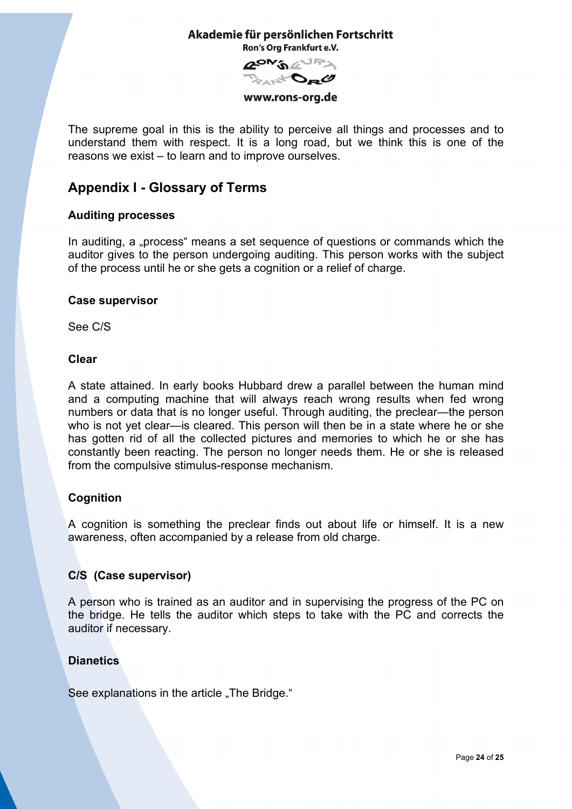**APM'S AURA** And Da O

www.rons-org.de

The supreme goal in this is the ability to perceive all things and processes and to understand them with respect. It is a long road, but we think this is one of the reasons we exist – to learn and to improve ourselves.

# <span id="page-23-0"></span>**Appendix I - Glossary of Terms**

## **Auditing processes**

In auditing, a "process" means a set sequence of questions or commands which the auditor gives to the person undergoing auditing. This person works with the subject of the process until he or she gets a cognition or a relief of charge.

### **Case supervisor**

See C/S

### **Clear**

A state attained. In early books Hubbard drew a parallel between the human mind and a computing machine that will always reach wrong results when fed wrong numbers or data that is no longer useful. Through auditing, the preclear—the person who is not yet clear—is cleared. This person will then be in a state where he or she has gotten rid of all the collected pictures and memories to which he or she has constantly been reacting. The person no longer needs them. He or she is released from the compulsive stimulus-response mechanism.

# **Cognition**

A cognition is something the preclear finds out about life or himself. It is a new awareness, often accompanied by a release from old charge.

### **C/S (Case supervisor)**

A person who is trained as an auditor and in supervising the progress of the PC on the bridge. He tells the auditor which steps to take with the PC and corrects the auditor if necessary.

# **Dianetics**

See explanations in the article . The Bridge. "